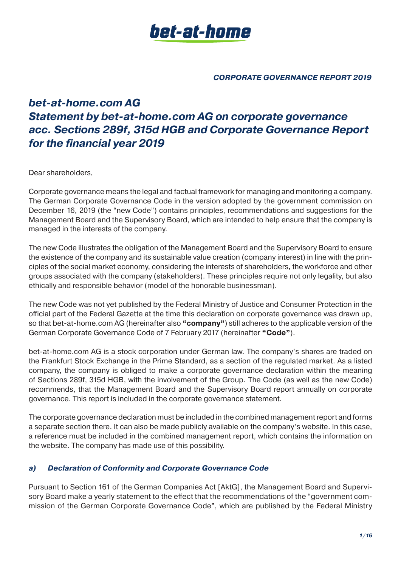

# *bet-at-home.com AG Statement by bet-at-home.com AG on corporate governance acc. Sections 289f, 315d HGB and Corporate Governance Report for the financial year 2019*

Dear shareholders,

Corporate governance means the legal and factual framework for managing and monitoring a company. The German Corporate Governance Code in the version adopted by the government commission on December 16, 2019 (the "new Code") contains principles, recommendations and suggestions for the Management Board and the Supervisory Board, which are intended to help ensure that the company is managed in the interests of the company.

The new Code illustrates the obligation of the Management Board and the Supervisory Board to ensure the existence of the company and its sustainable value creation (company interest) in line with the principles of the social market economy, considering the interests of shareholders, the workforce and other groups associated with the company (stakeholders). These principles require not only legality, but also ethically and responsible behavior (model of the honorable businessman).

The new Code was not yet published by the Federal Ministry of Justice and Consumer Protection in the official part of the Federal Gazette at the time this declaration on corporate governance was drawn up, so that bet-at-home.com AG (hereinafter also **"company"**) still adheres to the applicable version of the German Corporate Governance Code of 7 February 2017 (hereinafter **"Code"**).

bet-at-home.com AG is a stock corporation under German law. The company's shares are traded on the Frankfurt Stock Exchange in the Prime Standard, as a section of the regulated market. As a listed company, the company is obliged to make a corporate governance declaration within the meaning of Sections 289f, 315d HGB, with the involvement of the Group. The Code (as well as the new Code) recommends, that the Management Board and the Supervisory Board report annually on corporate governance. This report is included in the corporate governance statement.

The corporate governance declaration must be included in the combined management report and forms a separate section there. It can also be made publicly available on the company's website. In this case, a reference must be included in the combined management report, which contains the information on the website. The company has made use of this possibility.

# *a) Declaration of Conformity and Corporate Governance Code*

Pursuant to Section 161 of the German Companies Act [AktG], the Management Board and Supervisory Board make a yearly statement to the effect that the recommendations of the "government commission of the German Corporate Governance Code", which are published by the Federal Ministry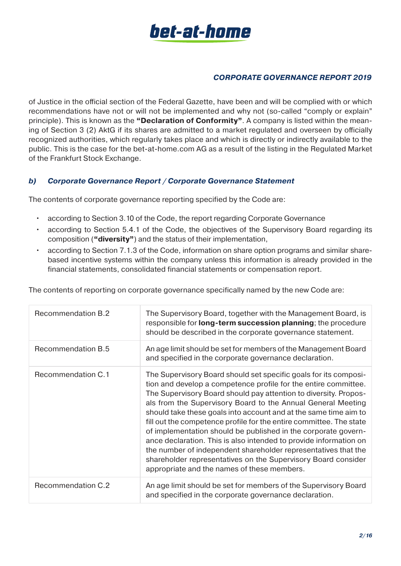

of Justice in the official section of the Federal Gazette, have been and will be complied with or which recommendations have not or will not be implemented and why not (so-called "comply or explain" principle). This is known as the **"Declaration of Conformity"**. A company is listed within the meaning of Section 3 (2) AktG if its shares are admitted to a market regulated and overseen by officially recognized authorities, which regularly takes place and which is directly or indirectly available to the public. This is the case for the bet-at-home.com AG as a result of the listing in the Regulated Market of the Frankfurt Stock Exchange.

# *b) Corporate Governance Report / Corporate Governance Statement*

The contents of corporate governance reporting specified by the Code are:

- according to Section 3.10 of the Code, the report regarding Corporate Governance
- according to Section 5.4.1 of the Code, the objectives of the Supervisory Board regarding its composition (**"diversity"**) and the status of their implementation,
- according to Section 7.1.3 of the Code, information on share option programs and similar sharebased incentive systems within the company unless this information is already provided in the financial statements, consolidated financial statements or compensation report.

| <b>Recommendation B.2</b> | The Supervisory Board, together with the Management Board, is<br>responsible for <b>long-term succession planning</b> ; the procedure<br>should be described in the corporate governance statement.                                                                                                                                                                                                                                                                                                                                                                                                                                                                                                                                         |
|---------------------------|---------------------------------------------------------------------------------------------------------------------------------------------------------------------------------------------------------------------------------------------------------------------------------------------------------------------------------------------------------------------------------------------------------------------------------------------------------------------------------------------------------------------------------------------------------------------------------------------------------------------------------------------------------------------------------------------------------------------------------------------|
| <b>Recommendation B.5</b> | An age limit should be set for members of the Management Board<br>and specified in the corporate governance declaration.                                                                                                                                                                                                                                                                                                                                                                                                                                                                                                                                                                                                                    |
| Recommendation C.1        | The Supervisory Board should set specific goals for its composi-<br>tion and develop a competence profile for the entire committee.<br>The Supervisory Board should pay attention to diversity. Propos-<br>als from the Supervisory Board to the Annual General Meeting<br>should take these goals into account and at the same time aim to<br>fill out the competence profile for the entire committee. The state<br>of implementation should be published in the corporate govern-<br>ance declaration. This is also intended to provide information on<br>the number of independent shareholder representatives that the<br>shareholder representatives on the Supervisory Board consider<br>appropriate and the names of these members. |
| <b>Recommendation C.2</b> | An age limit should be set for members of the Supervisory Board<br>and specified in the corporate governance declaration.                                                                                                                                                                                                                                                                                                                                                                                                                                                                                                                                                                                                                   |

The contents of reporting on corporate governance specifically named by the new Code are: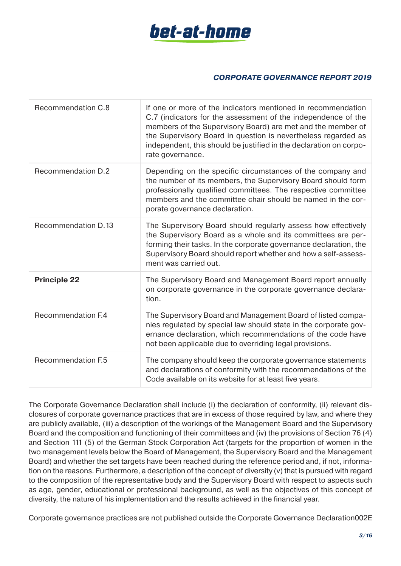

| Recommendation C.8        | If one or more of the indicators mentioned in recommendation<br>C.7 (indicators for the assessment of the independence of the<br>members of the Supervisory Board) are met and the member of<br>the Supervisory Board in question is nevertheless regarded as<br>independent, this should be justified in the declaration on corpo-<br>rate governance. |
|---------------------------|---------------------------------------------------------------------------------------------------------------------------------------------------------------------------------------------------------------------------------------------------------------------------------------------------------------------------------------------------------|
| <b>Recommendation D.2</b> | Depending on the specific circumstances of the company and<br>the number of its members, the Supervisory Board should form<br>professionally qualified committees. The respective committee<br>members and the committee chair should be named in the cor-<br>porate governance declaration.                                                            |
| Recommendation D.13       | The Supervisory Board should regularly assess how effectively<br>the Supervisory Board as a whole and its committees are per-<br>forming their tasks. In the corporate governance declaration, the<br>Supervisory Board should report whether and how a self-assess-<br>ment was carried out.                                                           |
| <b>Principle 22</b>       | The Supervisory Board and Management Board report annually<br>on corporate governance in the corporate governance declara-<br>tion.                                                                                                                                                                                                                     |
| <b>Recommendation F.4</b> | The Supervisory Board and Management Board of listed compa-<br>nies regulated by special law should state in the corporate gov-<br>ernance declaration, which recommendations of the code have<br>not been applicable due to overriding legal provisions.                                                                                               |
| <b>Recommendation F.5</b> | The company should keep the corporate governance statements<br>and declarations of conformity with the recommendations of the<br>Code available on its website for at least five years.                                                                                                                                                                 |

The Corporate Governance Declaration shall include (i) the declaration of conformity, (ii) relevant disclosures of corporate governance practices that are in excess of those required by law, and where they are publicly available, (iii) a description of the workings of the Management Board and the Supervisory Board and the composition and functioning of their committees and (iv) the provisions of Section 76 (4) and Section 111 (5) of the German Stock Corporation Act (targets for the proportion of women in the two management levels below the Board of Management, the Supervisory Board and the Management Board) and whether the set targets have been reached during the reference period and, if not, information on the reasons. Furthermore, a description of the concept of diversity (v) that is pursued with regard to the composition of the representative body and the Supervisory Board with respect to aspects such as age, gender, educational or professional background, as well as the objectives of this concept of diversity, the nature of his implementation and the results achieved in the financial year.

Corporate governance practices are not published outside the Corporate Governance Declaration002E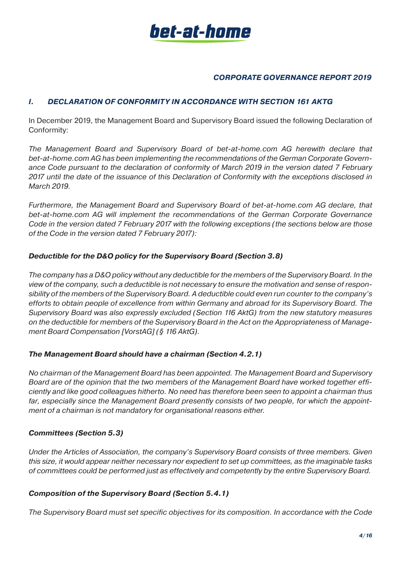

# *I. DECLARATION OF CONFORMITY IN ACCORDANCE WITH SECTION 161 AKTG*

In December 2019, the Management Board and Supervisory Board issued the following Declaration of Conformity:

*The Management Board and Supervisory Board of bet-at-home.com AG herewith declare that bet-at-home.com AG has been implementing the recommendations of the German Corporate Governance Code pursuant to the declaration of conformity of March 2019 in the version dated 7 February 2017 until the date of the issuance of this Declaration of Conformity with the exceptions disclosed in March 2019.*

*Furthermore, the Management Board and Supervisory Board of bet-at-home.com AG declare, that bet-at-home.com AG will implement the recommendations of the German Corporate Governance Code in the version dated 7 February 2017 with the following exceptions (the sections below are those of the Code in the version dated 7 February 2017):*

#### *Deductible for the D&O policy for the Supervisory Board (Section 3.8)*

*The company has a D&O policy without any deductible for the members of the Supervisory Board. In the view of the company, such a deductible is not necessary to ensure the motivation and sense of responsibility of the members of the Supervisory Board. A deductible could even run counter to the company's efforts to obtain people of excellence from within Germany and abroad for its Supervisory Board. The Supervisory Board was also expressly excluded (Section 116 AktG) from the new statutory measures on the deductible for members of the Supervisory Board in the Act on the Appropriateness of Management Board Compensation [VorstAG] (§ 116 AktG).*

#### *The Management Board should have a chairman (Section 4.2.1)*

*No chairman of the Management Board has been appointed. The Management Board and Supervisory Board are of the opinion that the two members of the Management Board have worked together efficiently and like good colleagues hitherto. No need has therefore been seen to appoint a chairman thus far, especially since the Management Board presently consists of two people, for which the appointment of a chairman is not mandatory for organisational reasons either.*

#### *Committees (Section 5.3)*

*Under the Articles of Association, the company's Supervisory Board consists of three members. Given this size, it would appear neither necessary nor expedient to set up committees, as the imaginable tasks of committees could be performed just as effectively and competently by the entire Supervisory Board.*

#### *Composition of the Supervisory Board (Section 5.4.1)*

*The Supervisory Board must set specific objectives for its composition. In accordance with the Code*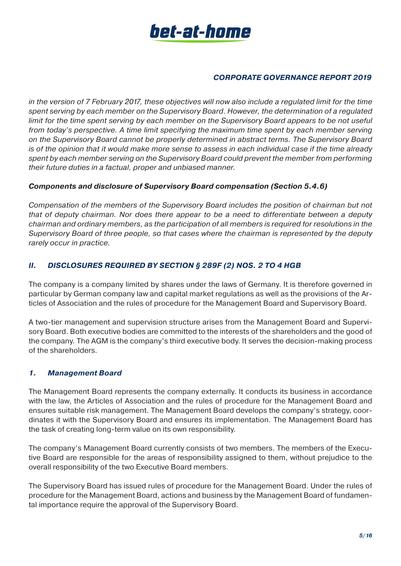

*in the version of 7 February 2017, these objectives will now also include a regulated limit for the time spent serving by each member on the Supervisory Board. However, the determination of a regulated limit for the time spent serving by each member on the Supervisory Board appears to be not useful from today's perspective. A time limit specifying the maximum time spent by each member serving on the Supervisory Board cannot be properly determined in abstract terms. The Supervisory Board is of the opinion that it would make more sense to assess in each individual case if the time already spent by each member serving on the Supervisory Board could prevent the member from performing their future duties in a factual, proper and unbiased manner.*

#### *Components and disclosure of Supervisory Board compensation (Section 5.4.6)*

*Compensation of the members of the Supervisory Board includes the position of chairman but not that of deputy chairman. Nor does there appear to be a need to differentiate between a deputy chairman and ordinary members, as the participation of all members is required for resolutions in the Supervisory Board of three people, so that cases where the chairman is represented by the deputy rarely occur in practice.*

# *II. DISCLOSURES REQUIRED BY SECTION § 289F (2) NOS. 2 TO 4 HGB*

The company is a company limited by shares under the laws of Germany. It is therefore governed in particular by German company law and capital market regulations as well as the provisions of the Articles of Association and the rules of procedure for the Management Board and Supervisory Board.

A two-tier management and supervision structure arises from the Management Board and Supervisory Board. Both executive bodies are committed to the interests of the shareholders and the good of the company. The AGM is the company's third executive body. It serves the decision-making process of the shareholders.

# *1. Management Board*

The Management Board represents the company externally. It conducts its business in accordance with the law, the Articles of Association and the rules of procedure for the Management Board and ensures suitable risk management. The Management Board develops the company's strategy, coordinates it with the Supervisory Board and ensures its implementation. The Management Board has the task of creating long-term value on its own responsibility.

The company's Management Board currently consists of two members. The members of the Executive Board are responsible for the areas of responsibility assigned to them, without prejudice to the overall responsibility of the two Executive Board members.

The Supervisory Board has issued rules of procedure for the Management Board. Under the rules of procedure for the Management Board, actions and business by the Management Board of fundamental importance require the approval of the Supervisory Board.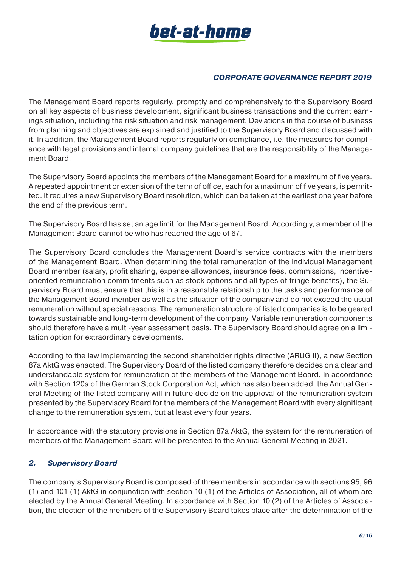

The Management Board reports regularly, promptly and comprehensively to the Supervisory Board on all key aspects of business development, significant business transactions and the current earnings situation, including the risk situation and risk management. Deviations in the course of business from planning and objectives are explained and justified to the Supervisory Board and discussed with it. In addition, the Management Board reports regularly on compliance, i.e. the measures for compliance with legal provisions and internal company guidelines that are the responsibility of the Management Board.

The Supervisory Board appoints the members of the Management Board for a maximum of five years. A repeated appointment or extension of the term of office, each for a maximum of five years, is permitted. It requires a new Supervisory Board resolution, which can be taken at the earliest one year before the end of the previous term.

The Supervisory Board has set an age limit for the Management Board. Accordingly, a member of the Management Board cannot be who has reached the age of 67.

The Supervisory Board concludes the Management Board's service contracts with the members of the Management Board. When determining the total remuneration of the individual Management Board member (salary, profit sharing, expense allowances, insurance fees, commissions, incentiveoriented remuneration commitments such as stock options and all types of fringe benefits), the Supervisory Board must ensure that this is in a reasonable relationship to the tasks and performance of the Management Board member as well as the situation of the company and do not exceed the usual remuneration without special reasons. The remuneration structure of listed companies is to be geared towards sustainable and long-term development of the company. Variable remuneration components should therefore have a multi-year assessment basis. The Supervisory Board should agree on a limitation option for extraordinary developments.

According to the law implementing the second shareholder rights directive (ARUG II), a new Section 87a AktG was enacted. The Supervisory Board of the listed company therefore decides on a clear and understandable system for remuneration of the members of the Management Board. In accordance with Section 120a of the German Stock Corporation Act, which has also been added, the Annual General Meeting of the listed company will in future decide on the approval of the remuneration system presented by the Supervisory Board for the members of the Management Board with every significant change to the remuneration system, but at least every four years.

In accordance with the statutory provisions in Section 87a AktG, the system for the remuneration of members of the Management Board will be presented to the Annual General Meeting in 2021.

# *2. Supervisory Board*

The company's Supervisory Board is composed of three members in accordance with sections 95, 96 (1) and 101 (1) AktG in conjunction with section 10 (1) of the Articles of Association, all of whom are elected by the Annual General Meeting. In accordance with Section 10 (2) of the Articles of Association, the election of the members of the Supervisory Board takes place after the determination of the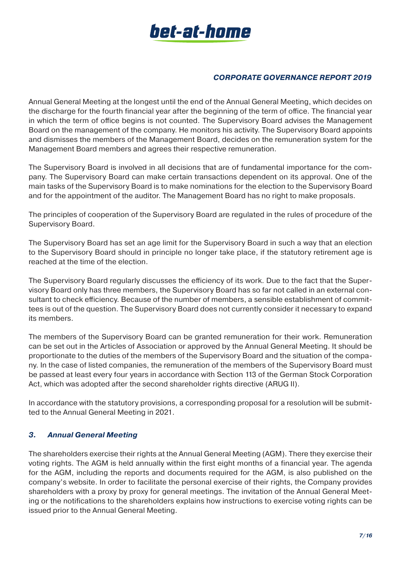

Annual General Meeting at the longest until the end of the Annual General Meeting, which decides on the discharge for the fourth financial year after the beginning of the term of office. The financial year in which the term of office begins is not counted. The Supervisory Board advises the Management Board on the management of the company. He monitors his activity. The Supervisory Board appoints and dismisses the members of the Management Board, decides on the remuneration system for the Management Board members and agrees their respective remuneration.

The Supervisory Board is involved in all decisions that are of fundamental importance for the company. The Supervisory Board can make certain transactions dependent on its approval. One of the main tasks of the Supervisory Board is to make nominations for the election to the Supervisory Board and for the appointment of the auditor. The Management Board has no right to make proposals.

The principles of cooperation of the Supervisory Board are regulated in the rules of procedure of the Supervisory Board.

The Supervisory Board has set an age limit for the Supervisory Board in such a way that an election to the Supervisory Board should in principle no longer take place, if the statutory retirement age is reached at the time of the election.

The Supervisory Board regularly discusses the efficiency of its work. Due to the fact that the Supervisory Board only has three members, the Supervisory Board has so far not called in an external consultant to check efficiency. Because of the number of members, a sensible establishment of committees is out of the question. The Supervisory Board does not currently consider it necessary to expand its members.

The members of the Supervisory Board can be granted remuneration for their work. Remuneration can be set out in the Articles of Association or approved by the Annual General Meeting. It should be proportionate to the duties of the members of the Supervisory Board and the situation of the company. In the case of listed companies, the remuneration of the members of the Supervisory Board must be passed at least every four years in accordance with Section 113 of the German Stock Corporation Act, which was adopted after the second shareholder rights directive (ARUG II).

In accordance with the statutory provisions, a corresponding proposal for a resolution will be submitted to the Annual General Meeting in 2021.

#### *3. Annual General Meeting*

The shareholders exercise their rights at the Annual General Meeting (AGM). There they exercise their voting rights. The AGM is held annually within the first eight months of a financial year. The agenda for the AGM, including the reports and documents required for the AGM, is also published on the company's website. In order to facilitate the personal exercise of their rights, the Company provides shareholders with a proxy by proxy for general meetings. The invitation of the Annual General Meeting or the notifications to the shareholders explains how instructions to exercise voting rights can be issued prior to the Annual General Meeting.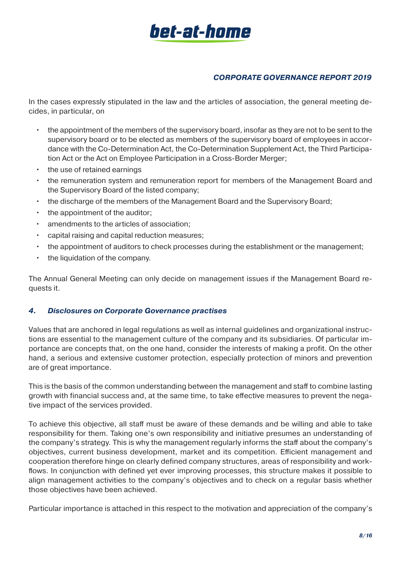

In the cases expressly stipulated in the law and the articles of association, the general meeting decides, in particular, on

- the appointment of the members of the supervisory board, insofar as they are not to be sent to the supervisory board or to be elected as members of the supervisory board of employees in accordance with the Co-Determination Act, the Co-Determination Supplement Act, the Third Participation Act or the Act on Employee Participation in a Cross-Border Merger;
- the use of retained earnings
- the remuneration system and remuneration report for members of the Management Board and the Supervisory Board of the listed company;
- the discharge of the members of the Management Board and the Supervisory Board;
- the appointment of the auditor:
- amendments to the articles of association;
- capital raising and capital reduction measures;
- the appointment of auditors to check processes during the establishment or the management;
- the liquidation of the company.

The Annual General Meeting can only decide on management issues if the Management Board requests it.

#### *4. Disclosures on Corporate Governance practises*

Values that are anchored in legal regulations as well as internal guidelines and organizational instructions are essential to the management culture of the company and its subsidiaries. Of particular importance are concepts that, on the one hand, consider the interests of making a profit. On the other hand, a serious and extensive customer protection, especially protection of minors and prevention are of great importance.

This is the basis of the common understanding between the management and staff to combine lasting growth with financial success and, at the same time, to take effective measures to prevent the negative impact of the services provided.

To achieve this objective, all staff must be aware of these demands and be willing and able to take responsibility for them. Taking one's own responsibility and initiative presumes an understanding of the company's strategy. This is why the management regularly informs the staff about the company's objectives, current business development, market and its competition. Efficient management and cooperation therefore hinge on clearly defined company structures, areas of responsibility and workflows. In conjunction with defined yet ever improving processes, this structure makes it possible to align management activities to the company's objectives and to check on a regular basis whether those objectives have been achieved.

Particular importance is attached in this respect to the motivation and appreciation of the company's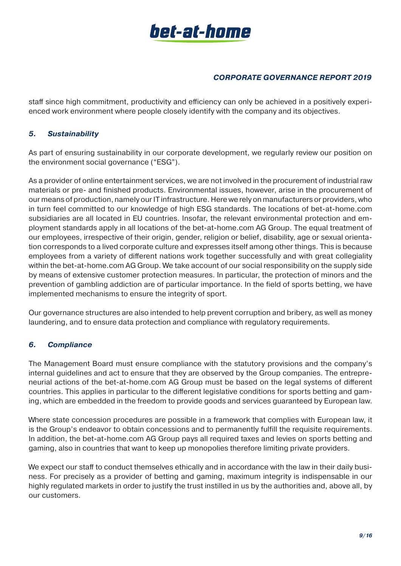

staff since high commitment, productivity and efficiency can only be achieved in a positively experienced work environment where people closely identify with the company and its objectives.

# *5. Sustainability*

As part of ensuring sustainability in our corporate development, we regularly review our position on the environment social governance ("ESG").

As a provider of online entertainment services, we are not involved in the procurement of industrial raw materials or pre- and finished products. Environmental issues, however, arise in the procurement of our means of production, namely our IT infrastructure. Here we rely on manufacturers or providers, who in turn feel committed to our knowledge of high ESG standards. The locations of bet-at-home.com subsidiaries are all located in EU countries. Insofar, the relevant environmental protection and employment standards apply in all locations of the bet-at-home.com AG Group. The equal treatment of our employees, irrespective of their origin, gender, religion or belief, disability, age or sexual orientation corresponds to a lived corporate culture and expresses itself among other things. This is because employees from a variety of different nations work together successfully and with great collegiality within the bet-at-home.com AG Group. We take account of our social responsibility on the supply side by means of extensive customer protection measures. In particular, the protection of minors and the prevention of gambling addiction are of particular importance. In the field of sports betting, we have implemented mechanisms to ensure the integrity of sport.

Our governance structures are also intended to help prevent corruption and bribery, as well as money laundering, and to ensure data protection and compliance with regulatory requirements.

#### *6. Compliance*

The Management Board must ensure compliance with the statutory provisions and the company's internal guidelines and act to ensure that they are observed by the Group companies. The entrepreneurial actions of the bet-at-home.com AG Group must be based on the legal systems of different countries. This applies in particular to the different legislative conditions for sports betting and gaming, which are embedded in the freedom to provide goods and services guaranteed by European law.

Where state concession procedures are possible in a framework that complies with European law, it is the Group's endeavor to obtain concessions and to permanently fulfill the requisite requirements. In addition, the bet-at-home.com AG Group pays all required taxes and levies on sports betting and gaming, also in countries that want to keep up monopolies therefore limiting private providers.

We expect our staff to conduct themselves ethically and in accordance with the law in their daily business. For precisely as a provider of betting and gaming, maximum integrity is indispensable in our highly regulated markets in order to justify the trust instilled in us by the authorities and, above all, by our customers.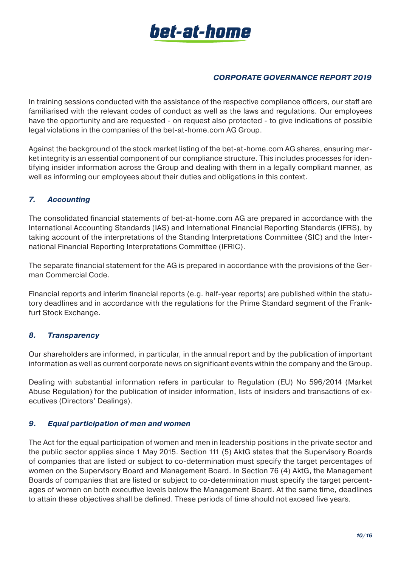

In training sessions conducted with the assistance of the respective compliance officers, our staff are familiarised with the relevant codes of conduct as well as the laws and regulations. Our employees have the opportunity and are requested - on request also protected - to give indications of possible legal violations in the companies of the bet-at-home.com AG Group.

Against the background of the stock market listing of the bet-at-home.com AG shares, ensuring market integrity is an essential component of our compliance structure. This includes processes for identifying insider information across the Group and dealing with them in a legally compliant manner, as well as informing our employees about their duties and obligations in this context.

# *7. Accounting*

The consolidated financial statements of bet-at-home.com AG are prepared in accordance with the International Accounting Standards (IAS) and International Financial Reporting Standards (IFRS), by taking account of the interpretations of the Standing Interpretations Committee (SIC) and the International Financial Reporting Interpretations Committee (IFRIC).

The separate financial statement for the AG is prepared in accordance with the provisions of the German Commercial Code.

Financial reports and interim financial reports (e.g. half-year reports) are published within the statutory deadlines and in accordance with the regulations for the Prime Standard segment of the Frankfurt Stock Exchange.

#### *8. Transparency*

Our shareholders are informed, in particular, in the annual report and by the publication of important information as well as current corporate news on significant events within the company and the Group.

Dealing with substantial information refers in particular to Regulation (EU) No 596/2014 (Market Abuse Regulation) for the publication of insider information, lists of insiders and transactions of executives (Directors' Dealings).

#### *9. Equal participation of men and women*

The Act for the equal participation of women and men in leadership positions in the private sector and the public sector applies since 1 May 2015. Section 111 (5) AktG states that the Supervisory Boards of companies that are listed or subject to co-determination must specify the target percentages of women on the Supervisory Board and Management Board. In Section 76 (4) AktG, the Management Boards of companies that are listed or subject to co-determination must specify the target percentages of women on both executive levels below the Management Board. At the same time, deadlines to attain these objectives shall be defined. These periods of time should not exceed five years.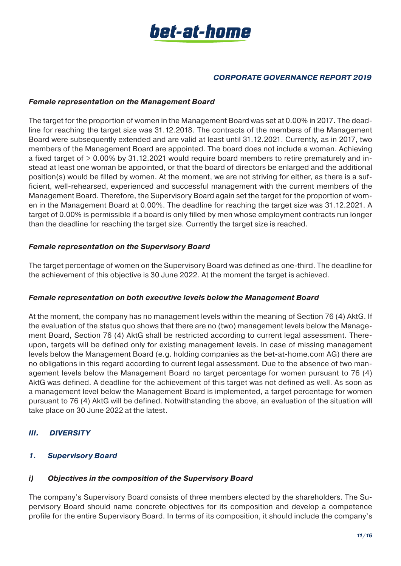

#### *Female representation on the Management Board*

The target for the proportion of women in the Management Board was set at 0.00% in 2017. The deadline for reaching the target size was 31.12.2018. The contracts of the members of the Management Board were subsequently extended and are valid at least until 31.12.2021. Currently, as in 2017, two members of the Management Board are appointed. The board does not include a woman. Achieving a fixed target of > 0.00% by 31.12.2021 would require board members to retire prematurely and instead at least one woman be appointed, or that the board of directors be enlarged and the additional position(s) would be filled by women. At the moment, we are not striving for either, as there is a sufficient, well-rehearsed, experienced and successful management with the current members of the Management Board. Therefore, the Supervisory Board again set the target for the proportion of women in the Management Board at 0.00%. The deadline for reaching the target size was 31.12.2021. A target of 0.00% is permissible if a board is only filled by men whose employment contracts run longer than the deadline for reaching the target size. Currently the target size is reached.

#### *Female representation on the Supervisory Board*

The target percentage of women on the Supervisory Board was defined as one-third. The deadline for the achievement of this objective is 30 June 2022. At the moment the target is achieved.

#### *Female representation on both executive levels below the Management Board*

At the moment, the company has no management levels within the meaning of Section 76 (4) AktG. If the evaluation of the status quo shows that there are no (two) management levels below the Management Board, Section 76 (4) AktG shall be restricted according to current legal assessment. Thereupon, targets will be defined only for existing management levels. In case of missing management levels below the Management Board (e.g. holding companies as the bet-at-home.com AG) there are no obligations in this regard according to current legal assessment. Due to the absence of two management levels below the Management Board no target percentage for women pursuant to 76 (4) AktG was defined. A deadline for the achievement of this target was not defined as well. As soon as a management level below the Management Board is implemented, a target percentage for women pursuant to 76 (4) AktG will be defined. Notwithstanding the above, an evaluation of the situation will take place on 30 June 2022 at the latest.

# *III. DIVERSITY*

#### *1. Supervisory Board*

#### *i) Objectives in the composition of the Supervisory Board*

The company's Supervisory Board consists of three members elected by the shareholders. The Supervisory Board should name concrete objectives for its composition and develop a competence profile for the entire Supervisory Board. In terms of its composition, it should include the company's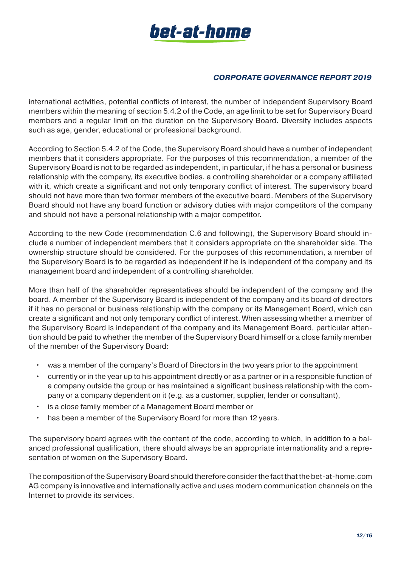

international activities, potential conflicts of interest, the number of independent Supervisory Board members within the meaning of section 5.4.2 of the Code, an age limit to be set for Supervisory Board members and a regular limit on the duration on the Supervisory Board. Diversity includes aspects such as age, gender, educational or professional background.

According to Section 5.4.2 of the Code, the Supervisory Board should have a number of independent members that it considers appropriate. For the purposes of this recommendation, a member of the Supervisory Board is not to be regarded as independent, in particular, if he has a personal or business relationship with the company, its executive bodies, a controlling shareholder or a company affiliated with it, which create a significant and not only temporary conflict of interest. The supervisory board should not have more than two former members of the executive board. Members of the Supervisory Board should not have any board function or advisory duties with major competitors of the company and should not have a personal relationship with a major competitor.

According to the new Code (recommendation C.6 and following), the Supervisory Board should include a number of independent members that it considers appropriate on the shareholder side. The ownership structure should be considered. For the purposes of this recommendation, a member of the Supervisory Board is to be regarded as independent if he is independent of the company and its management board and independent of a controlling shareholder.

More than half of the shareholder representatives should be independent of the company and the board. A member of the Supervisory Board is independent of the company and its board of directors if it has no personal or business relationship with the company or its Management Board, which can create a significant and not only temporary conflict of interest. When assessing whether a member of the Supervisory Board is independent of the company and its Management Board, particular attention should be paid to whether the member of the Supervisory Board himself or a close family member of the member of the Supervisory Board:

- was a member of the company's Board of Directors in the two years prior to the appointment
- currently or in the year up to his appointment directly or as a partner or in a responsible function of a company outside the group or has maintained a significant business relationship with the company or a company dependent on it (e.g. as a customer, supplier, lender or consultant),
- is a close family member of a Management Board member or
- has been a member of the Supervisory Board for more than 12 years.

The supervisory board agrees with the content of the code, according to which, in addition to a balanced professional qualification, there should always be an appropriate internationality and a representation of women on the Supervisory Board.

The composition of the Supervisory Board should therefore consider the fact that the bet-at-home.com AG company is innovative and internationally active and uses modern communication channels on the Internet to provide its services.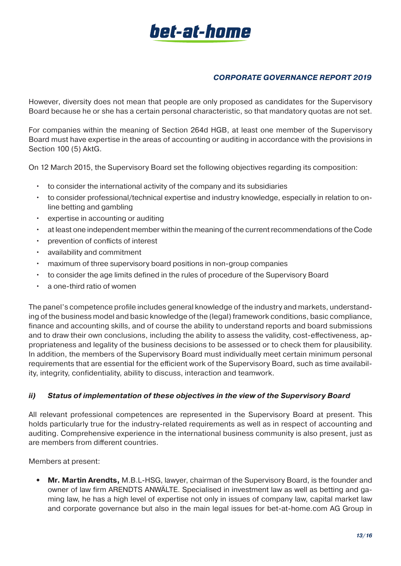# bet-at-home

# *CORPORATE GOVERNANCE REPORT 2019*

However, diversity does not mean that people are only proposed as candidates for the Supervisory Board because he or she has a certain personal characteristic, so that mandatory quotas are not set.

For companies within the meaning of Section 264d HGB, at least one member of the Supervisory Board must have expertise in the areas of accounting or auditing in accordance with the provisions in Section 100 (5) AktG.

On 12 March 2015, the Supervisory Board set the following objectives regarding its composition:

- to consider the international activity of the company and its subsidiaries
- to consider professional/technical expertise and industry knowledge, especially in relation to online betting and gambling
- expertise in accounting or auditing
- at least one independent member within the meaning of the current recommendations of the Code
- prevention of conflicts of interest
- availability and commitment
- maximum of three supervisory board positions in non-group companies
- to consider the age limits defined in the rules of procedure of the Supervisory Board
- a one-third ratio of women

The panel's competence profile includes general knowledge of the industry and markets, understanding of the business model and basic knowledge of the (legal) framework conditions, basic compliance, finance and accounting skills, and of course the ability to understand reports and board submissions and to draw their own conclusions, including the ability to assess the validity, cost-effectiveness, appropriateness and legality of the business decisions to be assessed or to check them for plausibility. In addition, the members of the Supervisory Board must individually meet certain minimum personal requirements that are essential for the efficient work of the Supervisory Board, such as time availability, integrity, confidentiality, ability to discuss, interaction and teamwork.

#### *ii) Status of implementation of these objectives in the view of the Supervisory Board*

All relevant professional competences are represented in the Supervisory Board at present. This holds particularly true for the industry-related requirements as well as in respect of accounting and auditing. Comprehensive experience in the international business community is also present, just as are members from different countries.

Members at present:

**• Mr. Martin Arendts,** M.B.L-HSG, lawyer, chairman of the Supervisory Board, is the founder and owner of law firm ARENDTS ANWÄLTE. Specialised in investment law as well as betting and gaming law, he has a high level of expertise not only in issues of company law, capital market law and corporate governance but also in the main legal issues for bet-at-home.com AG Group in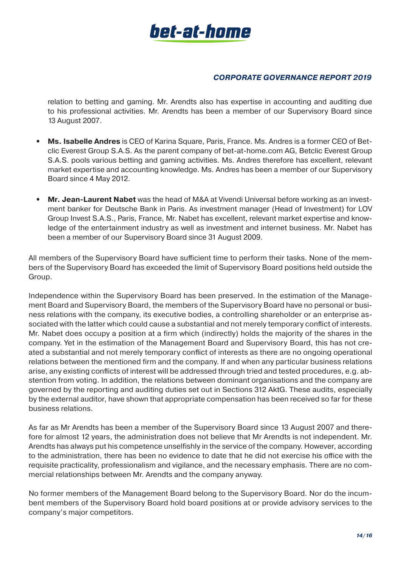

relation to betting and gaming. Mr. Arendts also has expertise in accounting and auditing due to his professional activities. Mr. Arendts has been a member of our Supervisory Board since 13 August 2007.

- **• Ms. Isabelle Andres** is CEO of Karina Square, Paris, France. Ms. Andres is a former CEO of Betclic Everest Group S.A.S. As the parent company of bet-at-home.com AG, Betclic Everest Group S.A.S. pools various betting and gaming activities. Ms. Andres therefore has excellent, relevant market expertise and accounting knowledge. Ms. Andres has been a member of our Supervisory Board since 4 May 2012.
- **• Mr. Jean-Laurent Nabet** was the head of M&A at Vivendi Universal before working as an investment banker for Deutsche Bank in Paris. As investment manager (Head of Investment) for LOV Group Invest S.A.S., Paris, France, Mr. Nabet has excellent, relevant market expertise and knowledge of the entertainment industry as well as investment and internet business. Mr. Nabet has been a member of our Supervisory Board since 31 August 2009.

All members of the Supervisory Board have sufficient time to perform their tasks. None of the members of the Supervisory Board has exceeded the limit of Supervisory Board positions held outside the Group.

Independence within the Supervisory Board has been preserved. In the estimation of the Management Board and Supervisory Board, the members of the Supervisory Board have no personal or business relations with the company, its executive bodies, a controlling shareholder or an enterprise associated with the latter which could cause a substantial and not merely temporary conflict of interests. Mr. Nabet does occupy a position at a firm which (indirectly) holds the majority of the shares in the company. Yet in the estimation of the Management Board and Supervisory Board, this has not created a substantial and not merely temporary conflict of interests as there are no ongoing operational relations between the mentioned firm and the company. If and when any particular business relations arise, any existing conflicts of interest will be addressed through tried and tested procedures, e.g. abstention from voting. In addition, the relations between dominant organisations and the company are governed by the reporting and auditing duties set out in Sections 312 AktG. These audits, especially by the external auditor, have shown that appropriate compensation has been received so far for these business relations.

As far as Mr Arendts has been a member of the Supervisory Board since 13 August 2007 and therefore for almost 12 years, the administration does not believe that Mr Arendts is not independent. Mr. Arendts has always put his competence unselfishly in the service of the company. However, according to the administration, there has been no evidence to date that he did not exercise his office with the requisite practicality, professionalism and vigilance, and the necessary emphasis. There are no commercial relationships between Mr. Arendts and the company anyway.

No former members of the Management Board belong to the Supervisory Board. Nor do the incumbent members of the Supervisory Board hold board positions at or provide advisory services to the company's major competitors.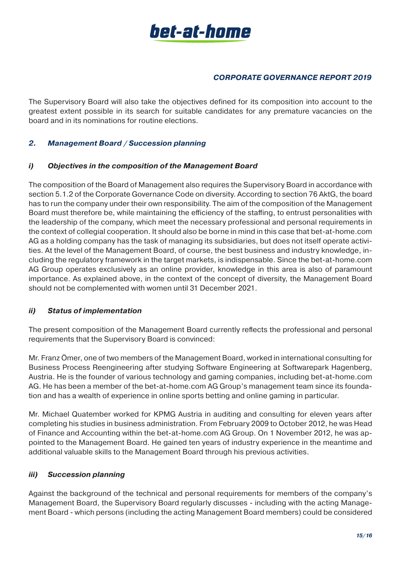

The Supervisory Board will also take the objectives defined for its composition into account to the greatest extent possible in its search for suitable candidates for any premature vacancies on the board and in its nominations for routine elections.

# *2. Management Board / Succession planning*

#### *i) Objectives in the composition of the Management Board*

The composition of the Board of Management also requires the Supervisory Board in accordance with section 5.1.2 of the Corporate Governance Code on diversity. According to section 76 AktG, the board has to run the company under their own responsibility. The aim of the composition of the Management Board must therefore be, while maintaining the efficiency of the staffing, to entrust personalities with the leadership of the company, which meet the necessary professional and personal requirements in the context of collegial cooperation. It should also be borne in mind in this case that bet-at-home.com AG as a holding company has the task of managing its subsidiaries, but does not itself operate activities. At the level of the Management Board, of course, the best business and industry knowledge, including the regulatory framework in the target markets, is indispensable. Since the bet-at-home.com AG Group operates exclusively as an online provider, knowledge in this area is also of paramount importance. As explained above, in the context of the concept of diversity, the Management Board should not be complemented with women until 31 December 2021.

#### *ii) Status of implementation*

The present composition of the Management Board currently reflects the professional and personal requirements that the Supervisory Board is convinced:

Mr. Franz Ömer, one of two members of the Management Board, worked in international consulting for Business Process Reengineering after studying Software Engineering at Softwarepark Hagenberg, Austria. He is the founder of various technology and gaming companies, including bet-at-home.com AG. He has been a member of the bet-at-home.com AG Group's management team since its foundation and has a wealth of experience in online sports betting and online gaming in particular.

Mr. Michael Quatember worked for KPMG Austria in auditing and consulting for eleven years after completing his studies in business administration. From February 2009 to October 2012, he was Head of Finance and Accounting within the bet-at-home.com AG Group. On 1 November 2012, he was appointed to the Management Board. He gained ten years of industry experience in the meantime and additional valuable skills to the Management Board through his previous activities.

#### *iii) Succession planning*

Against the background of the technical and personal requirements for members of the company's Management Board, the Supervisory Board regularly discusses - including with the acting Management Board - which persons (including the acting Management Board members) could be considered